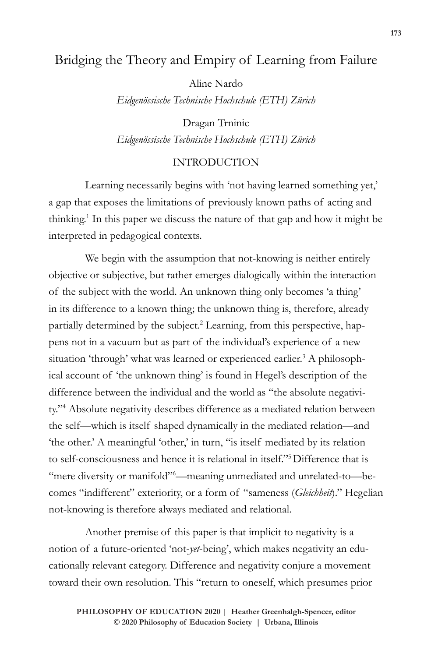# Bridging the Theory and Empiry of Learning from Failure

Aline Nardo

*Eidgenössische Technische Hochschule (ETH) Zürich*

Dragan Trninic *Eidgenössische Technische Hochschule (ETH) Zürich*

### INTRODUCTION

Learning necessarily begins with 'not having learned something yet,' a gap that exposes the limitations of previously known paths of acting and thinking.1 In this paper we discuss the nature of that gap and how it might be interpreted in pedagogical contexts.

We begin with the assumption that not-knowing is neither entirely objective or subjective, but rather emerges dialogically within the interaction of the subject with the world. An unknown thing only becomes 'a thing' in its difference to a known thing; the unknown thing is, therefore, already partially determined by the subject.<sup>2</sup> Learning, from this perspective, happens not in a vacuum but as part of the individual's experience of a new situation 'through' what was learned or experienced earlier.<sup>3</sup> A philosophical account of 'the unknown thing' is found in Hegel's description of the difference between the individual and the world as "the absolute negativity."4 Absolute negativity describes difference as a mediated relation between the self—which is itself shaped dynamically in the mediated relation—and 'the other.' A meaningful 'other,' in turn, "is itself mediated by its relation to self-consciousness and hence it is relational in itself."5Difference that is "mere diversity or manifold"<sup>6</sup>—meaning unmediated and unrelated-to—becomes "indifferent" exteriority, or a form of "sameness (*Gleichheit*)." Hegelian not-knowing is therefore always mediated and relational.

Another premise of this paper is that implicit to negativity is a notion of a future-oriented 'not-*yet*-being', which makes negativity an educationally relevant category. Difference and negativity conjure a movement toward their own resolution. This "return to oneself, which presumes prior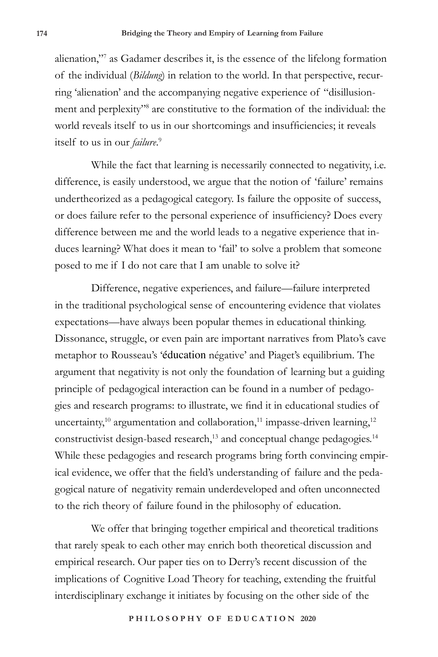alienation,"7 as Gadamer describes it, is the essence of the lifelong formation of the individual (*Bildung*) in relation to the world. In that perspective, recurring 'alienation' and the accompanying negative experience of "disillusionment and perplexity"8 are constitutive to the formation of the individual: the world reveals itself to us in our shortcomings and insufficiencies; it reveals itself to us in our *failure*. 9

While the fact that learning is necessarily connected to negativity, i.e. difference, is easily understood, we argue that the notion of 'failure' remains undertheorized as a pedagogical category. Is failure the opposite of success, or does failure refer to the personal experience of insufficiency? Does every difference between me and the world leads to a negative experience that induces learning? What does it mean to 'fail' to solve a problem that someone posed to me if I do not care that I am unable to solve it?

Difference, negative experiences, and failure—failure interpreted in the traditional psychological sense of encountering evidence that violates expectations—have always been popular themes in educational thinking. Dissonance, struggle, or even pain are important narratives from Plato's cave metaphor to Rousseau's 'éducation négative' and Piaget's equilibrium. The argument that negativity is not only the foundation of learning but a guiding principle of pedagogical interaction can be found in a number of pedagogies and research programs: to illustrate, we find it in educational studies of uncertainty,<sup>10</sup> argumentation and collaboration,<sup>11</sup> impasse-driven learning,<sup>12</sup> constructivist design-based research,<sup>13</sup> and conceptual change pedagogies.<sup>14</sup> While these pedagogies and research programs bring forth convincing empirical evidence, we offer that the field's understanding of failure and the pedagogical nature of negativity remain underdeveloped and often unconnected to the rich theory of failure found in the philosophy of education.

We offer that bringing together empirical and theoretical traditions that rarely speak to each other may enrich both theoretical discussion and empirical research. Our paper ties on to Derry's recent discussion of the implications of Cognitive Load Theory for teaching, extending the fruitful interdisciplinary exchange it initiates by focusing on the other side of the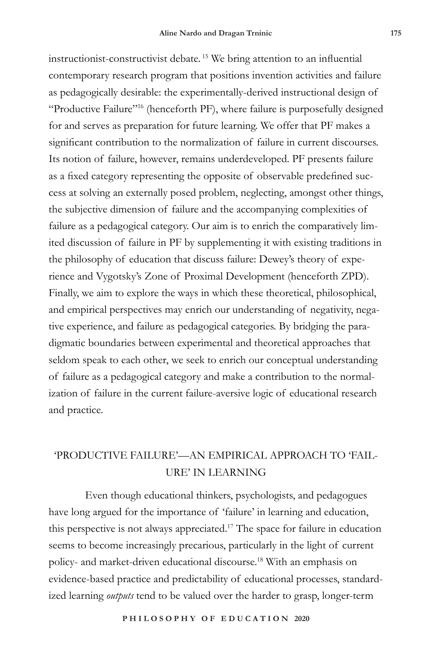instructionist-constructivist debate. <sup>15</sup> We bring attention to an influential contemporary research program that positions invention activities and failure as pedagogically desirable: the experimentally-derived instructional design of "Productive Failure"16 (henceforth PF), where failure is purposefully designed for and serves as preparation for future learning. We offer that PF makes a significant contribution to the normalization of failure in current discourses. Its notion of failure, however, remains underdeveloped. PF presents failure as a fixed category representing the opposite of observable predefined success at solving an externally posed problem, neglecting, amongst other things, the subjective dimension of failure and the accompanying complexities of failure as a pedagogical category. Our aim is to enrich the comparatively limited discussion of failure in PF by supplementing it with existing traditions in the philosophy of education that discuss failure: Dewey's theory of experience and Vygotsky's Zone of Proximal Development (henceforth ZPD). Finally, we aim to explore the ways in which these theoretical, philosophical, and empirical perspectives may enrich our understanding of negativity, negative experience, and failure as pedagogical categories. By bridging the paradigmatic boundaries between experimental and theoretical approaches that seldom speak to each other, we seek to enrich our conceptual understanding of failure as a pedagogical category and make a contribution to the normalization of failure in the current failure-aversive logic of educational research and practice.

# 'PRODUCTIVE FAILURE'—AN EMPIRICAL APPROACH TO 'FAIL-URE' IN LEARNING

Even though educational thinkers, psychologists, and pedagogues have long argued for the importance of 'failure' in learning and education, this perspective is not always appreciated.17 The space for failure in education seems to become increasingly precarious, particularly in the light of current policy- and market-driven educational discourse.18 With an emphasis on evidence-based practice and predictability of educational processes, standardized learning *outputs* tend to be valued over the harder to grasp, longer-term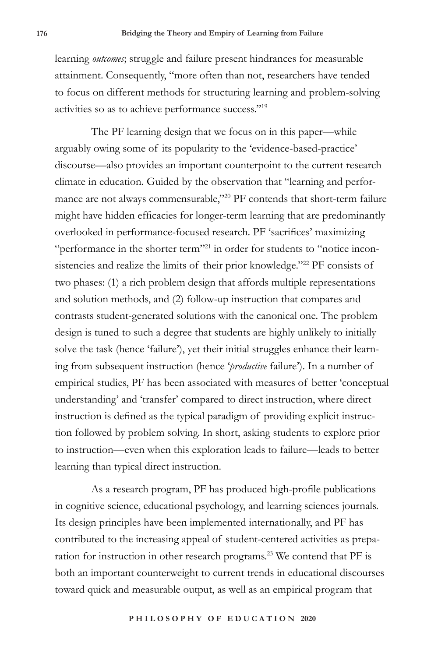learning *outcomes*; struggle and failure present hindrances for measurable attainment. Consequently, "more often than not, researchers have tended to focus on different methods for structuring learning and problem-solving activities so as to achieve performance success."19

The PF learning design that we focus on in this paper—while arguably owing some of its popularity to the 'evidence-based-practice' discourse—also provides an important counterpoint to the current research climate in education. Guided by the observation that "learning and performance are not always commensurable,"<sup>20</sup> PF contends that short-term failure might have hidden efficacies for longer-term learning that are predominantly overlooked in performance-focused research. PF 'sacrifices' maximizing "performance in the shorter term"21 in order for students to "notice inconsistencies and realize the limits of their prior knowledge."<sup>22</sup> PF consists of two phases: (1) a rich problem design that affords multiple representations and solution methods, and (2) follow-up instruction that compares and contrasts student-generated solutions with the canonical one. The problem design is tuned to such a degree that students are highly unlikely to initially solve the task (hence 'failure'), yet their initial struggles enhance their learning from subsequent instruction (hence '*productive* failure'). In a number of empirical studies, PF has been associated with measures of better 'conceptual understanding' and 'transfer' compared to direct instruction, where direct instruction is defined as the typical paradigm of providing explicit instruction followed by problem solving. In short, asking students to explore prior to instruction—even when this exploration leads to failure—leads to better learning than typical direct instruction.

As a research program, PF has produced high-profile publications in cognitive science, educational psychology, and learning sciences journals. Its design principles have been implemented internationally, and PF has contributed to the increasing appeal of student-centered activities as preparation for instruction in other research programs.23 We contend that PF is both an important counterweight to current trends in educational discourses toward quick and measurable output, as well as an empirical program that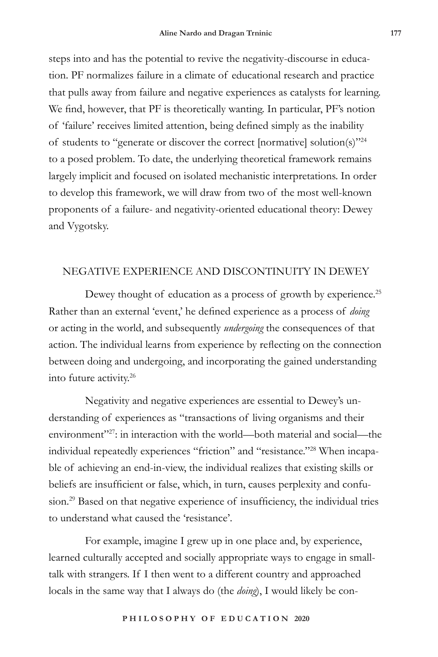steps into and has the potential to revive the negativity-discourse in education. PF normalizes failure in a climate of educational research and practice that pulls away from failure and negative experiences as catalysts for learning. We find, however, that PF is theoretically wanting. In particular, PF's notion of 'failure' receives limited attention, being defined simply as the inability of students to "generate or discover the correct [normative] solution(s)"24 to a posed problem. To date, the underlying theoretical framework remains largely implicit and focused on isolated mechanistic interpretations. In order to develop this framework, we will draw from two of the most well-known proponents of a failure- and negativity-oriented educational theory: Dewey and Vygotsky.

## NEGATIVE EXPERIENCE AND DISCONTINUITY IN DEWEY

Dewey thought of education as a process of growth by experience.<sup>25</sup> Rather than an external 'event,' he defined experience as a process of *doing*  or acting in the world, and subsequently *undergoing* the consequences of that action. The individual learns from experience by reflecting on the connection between doing and undergoing, and incorporating the gained understanding into future activity.26

Negativity and negative experiences are essential to Dewey's understanding of experiences as "transactions of living organisms and their environment<sup>"27</sup>: in interaction with the world—both material and social—the individual repeatedly experiences "friction" and "resistance."28 When incapable of achieving an end-in-view, the individual realizes that existing skills or beliefs are insufficient or false, which, in turn, causes perplexity and confusion.<sup>29</sup> Based on that negative experience of insufficiency, the individual tries to understand what caused the 'resistance'.

For example, imagine I grew up in one place and, by experience, learned culturally accepted and socially appropriate ways to engage in smalltalk with strangers. If I then went to a different country and approached locals in the same way that I always do (the *doing*), I would likely be con-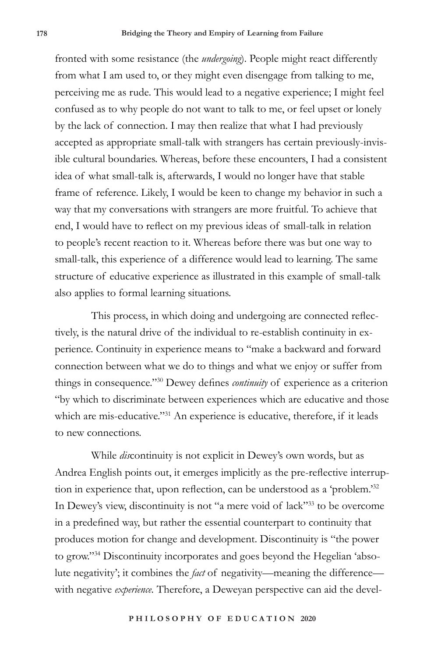fronted with some resistance (the *undergoing*). People might react differently from what I am used to, or they might even disengage from talking to me, perceiving me as rude. This would lead to a negative experience; I might feel confused as to why people do not want to talk to me, or feel upset or lonely by the lack of connection. I may then realize that what I had previously accepted as appropriate small-talk with strangers has certain previously-invisible cultural boundaries. Whereas, before these encounters, I had a consistent idea of what small-talk is, afterwards, I would no longer have that stable frame of reference. Likely, I would be keen to change my behavior in such a way that my conversations with strangers are more fruitful. To achieve that end, I would have to reflect on my previous ideas of small-talk in relation to people's recent reaction to it. Whereas before there was but one way to small-talk, this experience of a difference would lead to learning. The same structure of educative experience as illustrated in this example of small-talk also applies to formal learning situations.

This process, in which doing and undergoing are connected reflectively, is the natural drive of the individual to re-establish continuity in experience. Continuity in experience means to "make a backward and forward connection between what we do to things and what we enjoy or suffer from things in consequence."30 Dewey defines *continuity* of experience as a criterion "by which to discriminate between experiences which are educative and those which are mis-educative."<sup>31</sup> An experience is educative, therefore, if it leads to new connections.

While *dis*continuity is not explicit in Dewey's own words, but as Andrea English points out, it emerges implicitly as the pre-reflective interruption in experience that, upon reflection, can be understood as a 'problem.' 32 In Dewey's view, discontinuity is not "a mere void of lack"<sup>33</sup> to be overcome in a predefined way, but rather the essential counterpart to continuity that produces motion for change and development. Discontinuity is "the power to grow."34 Discontinuity incorporates and goes beyond the Hegelian 'absolute negativity'; it combines the *fact* of negativity—meaning the difference with negative *experience.* Therefore, a Deweyan perspective can aid the devel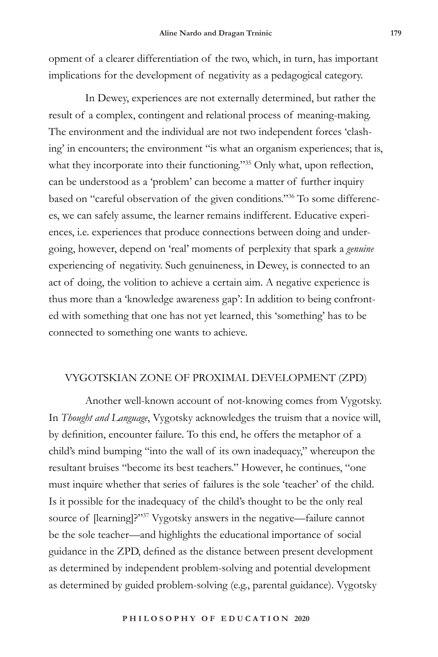opment of a clearer differentiation of the two, which, in turn, has important implications for the development of negativity as a pedagogical category.

In Dewey, experiences are not externally determined, but rather the result of a complex, contingent and relational process of meaning-making. The environment and the individual are not two independent forces 'clashing' in encounters; the environment "is what an organism experiences; that is, what they incorporate into their functioning."35 Only what, upon reflection, can be understood as a 'problem' can become a matter of further inquiry based on "careful observation of the given conditions."36 To some differences, we can safely assume, the learner remains indifferent. Educative experiences, i.e. experiences that produce connections between doing and undergoing, however, depend on 'real' moments of perplexity that spark a *genuine* experiencing of negativity. Such genuineness, in Dewey, is connected to an act of doing, the volition to achieve a certain aim. A negative experience is thus more than a 'knowledge awareness gap': In addition to being confronted with something that one has not yet learned, this 'something' has to be connected to something one wants to achieve.

## VYGOTSKIAN ZONE OF PROXIMAL DEVELOPMENT (ZPD)

Another well-known account of not-knowing comes from Vygotsky. In *Thought and Language*, Vygotsky acknowledges the truism that a novice will, by definition, encounter failure. To this end, he offers the metaphor of a child's mind bumping "into the wall of its own inadequacy," whereupon the resultant bruises "become its best teachers." However, he continues, "one must inquire whether that series of failures is the sole 'teacher' of the child. Is it possible for the inadequacy of the child's thought to be the only real source of [learning]?"37 Vygotsky answers in the negative—failure cannot be the sole teacher—and highlights the educational importance of social guidance in the ZPD, defined as the distance between present development as determined by independent problem-solving and potential development as determined by guided problem-solving (e.g., parental guidance). Vygotsky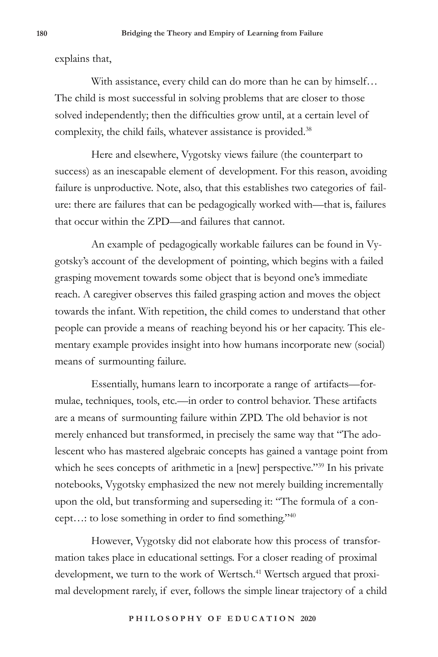explains that,

With assistance, every child can do more than he can by himself… The child is most successful in solving problems that are closer to those solved independently; then the difficulties grow until, at a certain level of complexity, the child fails, whatever assistance is provided.<sup>38</sup>

Here and elsewhere, Vygotsky views failure (the counterpart to success) as an inescapable element of development. For this reason, avoiding failure is unproductive. Note, also, that this establishes two categories of failure: there are failures that can be pedagogically worked with—that is, failures that occur within the ZPD—and failures that cannot.

An example of pedagogically workable failures can be found in Vygotsky's account of the development of pointing, which begins with a failed grasping movement towards some object that is beyond one's immediate reach. A caregiver observes this failed grasping action and moves the object towards the infant. With repetition, the child comes to understand that other people can provide a means of reaching beyond his or her capacity. This elementary example provides insight into how humans incorporate new (social) means of surmounting failure.

Essentially, humans learn to incorporate a range of artifacts—formulae, techniques, tools, etc.—in order to control behavior. These artifacts are a means of surmounting failure within ZPD. The old behavior is not merely enhanced but transformed, in precisely the same way that "The adolescent who has mastered algebraic concepts has gained a vantage point from which he sees concepts of arithmetic in a [new] perspective."<sup>39</sup> In his private notebooks, Vygotsky emphasized the new not merely building incrementally upon the old, but transforming and superseding it: "The formula of a concept…: to lose something in order to find something."<sup>40</sup>

However, Vygotsky did not elaborate how this process of transformation takes place in educational settings. For a closer reading of proximal development, we turn to the work of Wertsch.<sup>41</sup> Wertsch argued that proximal development rarely, if ever, follows the simple linear trajectory of a child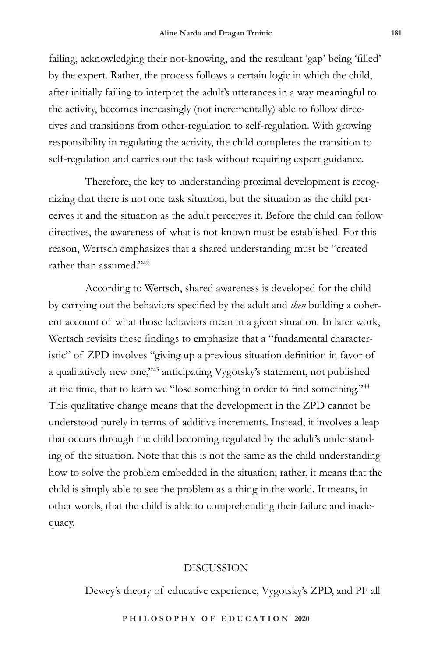failing, acknowledging their not-knowing, and the resultant 'gap' being 'filled' by the expert. Rather, the process follows a certain logic in which the child, after initially failing to interpret the adult's utterances in a way meaningful to the activity, becomes increasingly (not incrementally) able to follow directives and transitions from other-regulation to self-regulation. With growing responsibility in regulating the activity, the child completes the transition to self-regulation and carries out the task without requiring expert guidance.

Therefore, the key to understanding proximal development is recognizing that there is not one task situation, but the situation as the child perceives it and the situation as the adult perceives it. Before the child can follow directives, the awareness of what is not-known must be established. For this reason, Wertsch emphasizes that a shared understanding must be "created rather than assumed."42

According to Wertsch, shared awareness is developed for the child by carrying out the behaviors specified by the adult and *then* building a coherent account of what those behaviors mean in a given situation. In later work, Wertsch revisits these findings to emphasize that a "fundamental characteristic" of ZPD involves "giving up a previous situation definition in favor of a qualitatively new one,"43 anticipating Vygotsky's statement, not published at the time, that to learn we "lose something in order to find something."<sup>44</sup> This qualitative change means that the development in the ZPD cannot be understood purely in terms of additive increments. Instead, it involves a leap that occurs through the child becoming regulated by the adult's understanding of the situation. Note that this is not the same as the child understanding how to solve the problem embedded in the situation; rather, it means that the child is simply able to see the problem as a thing in the world. It means, in other words, that the child is able to comprehending their failure and inadequacy.

### DISCUSSION

Dewey's theory of educative experience, Vygotsky's ZPD, and PF all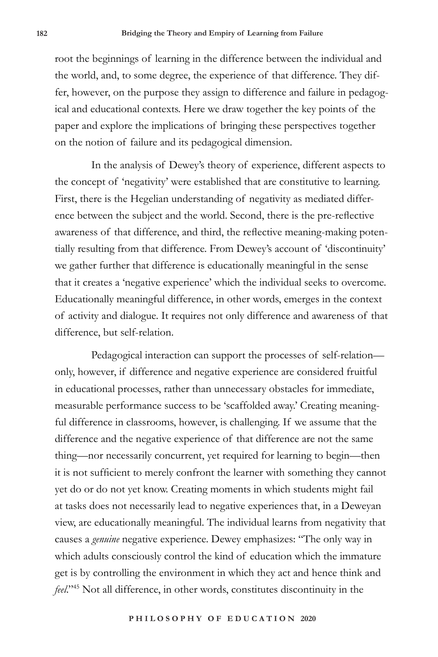root the beginnings of learning in the difference between the individual and the world, and, to some degree, the experience of that difference. They differ, however, on the purpose they assign to difference and failure in pedagogical and educational contexts. Here we draw together the key points of the paper and explore the implications of bringing these perspectives together on the notion of failure and its pedagogical dimension.

In the analysis of Dewey's theory of experience, different aspects to the concept of 'negativity' were established that are constitutive to learning. First, there is the Hegelian understanding of negativity as mediated difference between the subject and the world. Second, there is the pre-reflective awareness of that difference, and third, the reflective meaning-making potentially resulting from that difference. From Dewey's account of 'discontinuity' we gather further that difference is educationally meaningful in the sense that it creates a 'negative experience' which the individual seeks to overcome. Educationally meaningful difference, in other words, emerges in the context of activity and dialogue. It requires not only difference and awareness of that difference, but self-relation.

Pedagogical interaction can support the processes of self-relation only, however, if difference and negative experience are considered fruitful in educational processes, rather than unnecessary obstacles for immediate, measurable performance success to be 'scaffolded away.' Creating meaningful difference in classrooms, however, is challenging. If we assume that the difference and the negative experience of that difference are not the same thing—nor necessarily concurrent, yet required for learning to begin—then it is not sufficient to merely confront the learner with something they cannot yet do or do not yet know. Creating moments in which students might fail at tasks does not necessarily lead to negative experiences that, in a Deweyan view, are educationally meaningful. The individual learns from negativity that causes a *genuine* negative experience. Dewey emphasizes: "The only way in which adults consciously control the kind of education which the immature get is by controlling the environment in which they act and hence think and *feel*."45 Not all difference, in other words, constitutes discontinuity in the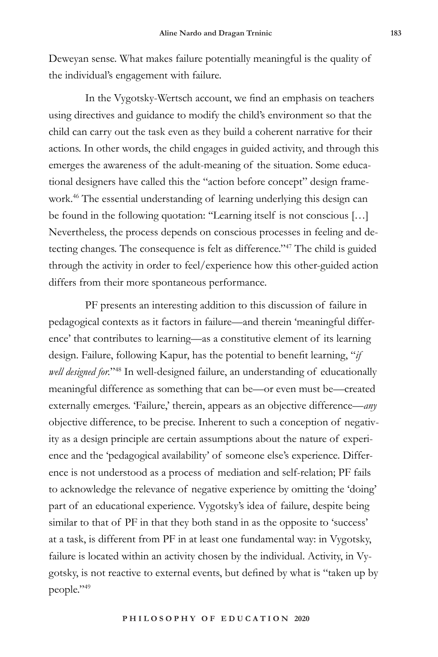Deweyan sense. What makes failure potentially meaningful is the quality of the individual's engagement with failure.

In the Vygotsky-Wertsch account, we find an emphasis on teachers using directives and guidance to modify the child's environment so that the child can carry out the task even as they build a coherent narrative for their actions. In other words, the child engages in guided activity, and through this emerges the awareness of the adult-meaning of the situation. Some educational designers have called this the "action before concept" design framework.46 The essential understanding of learning underlying this design can be found in the following quotation: ''Learning itself is not conscious […] Nevertheless, the process depends on conscious processes in feeling and detecting changes. The consequence is felt as difference."47 The child is guided through the activity in order to feel/experience how this other-guided action differs from their more spontaneous performance.

PF presents an interesting addition to this discussion of failure in pedagogical contexts as it factors in failure––and therein 'meaningful difference' that contributes to learning––as a constitutive element of its learning design. Failure, following Kapur, has the potential to benefit learning, "*if well designed for.*"48 In well-designed failure, an understanding of educationally meaningful difference as something that can be––or even must be––created externally emerges. 'Failure,' therein, appears as an objective difference—*any* objective difference, to be precise. Inherent to such a conception of negativity as a design principle are certain assumptions about the nature of experience and the 'pedagogical availability' of someone else's experience. Difference is not understood as a process of mediation and self-relation; PF fails to acknowledge the relevance of negative experience by omitting the 'doing' part of an educational experience. Vygotsky's idea of failure, despite being similar to that of PF in that they both stand in as the opposite to 'success' at a task, is different from PF in at least one fundamental way: in Vygotsky, failure is located within an activity chosen by the individual. Activity, in Vygotsky, is not reactive to external events, but defined by what is "taken up by people."49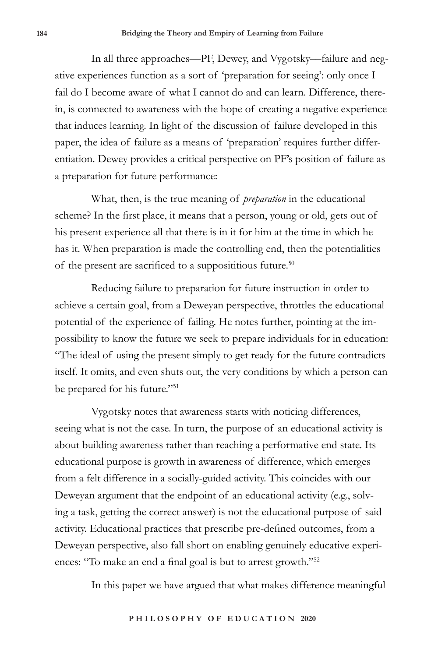In all three approaches––PF, Dewey, and Vygotsky––failure and negative experiences function as a sort of 'preparation for seeing': only once I fail do I become aware of what I cannot do and can learn. Difference, therein, is connected to awareness with the hope of creating a negative experience that induces learning. In light of the discussion of failure developed in this paper, the idea of failure as a means of 'preparation' requires further differentiation. Dewey provides a critical perspective on PF's position of failure as a preparation for future performance:

What, then, is the true meaning of *preparation* in the educational scheme? In the first place, it means that a person, young or old, gets out of his present experience all that there is in it for him at the time in which he has it. When preparation is made the controlling end, then the potentialities of the present are sacrificed to a supposititious future.<sup>50</sup>

Reducing failure to preparation for future instruction in order to achieve a certain goal, from a Deweyan perspective, throttles the educational potential of the experience of failing. He notes further, pointing at the impossibility to know the future we seek to prepare individuals for in education: "The ideal of using the present simply to get ready for the future contradicts itself. It omits, and even shuts out, the very conditions by which a person can be prepared for his future."<sup>51</sup>

Vygotsky notes that awareness starts with noticing differences, seeing what is not the case. In turn, the purpose of an educational activity is about building awareness rather than reaching a performative end state. Its educational purpose is growth in awareness of difference, which emerges from a felt difference in a socially-guided activity. This coincides with our Deweyan argument that the endpoint of an educational activity (e.g., solving a task, getting the correct answer) is not the educational purpose of said activity. Educational practices that prescribe pre-defined outcomes, from a Deweyan perspective, also fall short on enabling genuinely educative experiences: "To make an end a final goal is but to arrest growth."<sup>52</sup>

In this paper we have argued that what makes difference meaningful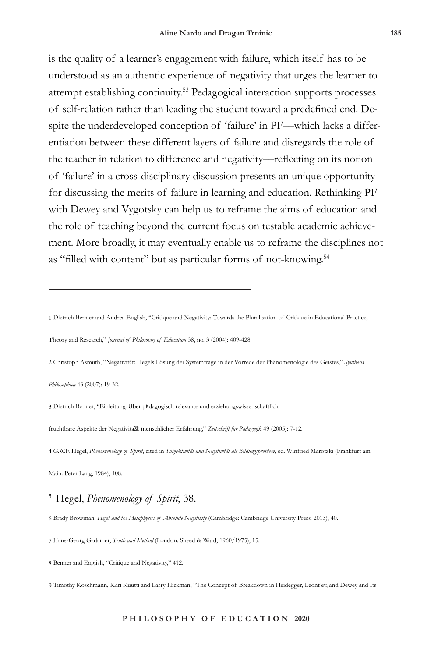is the quality of a learner's engagement with failure, which itself has to be understood as an authentic experience of negativity that urges the learner to attempt establishing continuity.53 Pedagogical interaction supports processes of self-relation rather than leading the student toward a predefined end. Despite the underdeveloped conception of 'failure' in PF––which lacks a differentiation between these different layers of failure and disregards the role of the teacher in relation to difference and negativity––reflecting on its notion of 'failure' in a cross-disciplinary discussion presents an unique opportunity for discussing the merits of failure in learning and education. Rethinking PF with Dewey and Vygotsky can help us to reframe the aims of education and the role of teaching beyond the current focus on testable academic achievement. More broadly, it may eventually enable us to reframe the disciplines not as "filled with content" but as particular forms of not-knowing.<sup>54</sup>

1 Dietrich Benner and Andrea English, "Critique and Negativity: Towards the Pluralisation of Critique in Educational Practice,

Theory and Research," *Journal of Philosophy of Education* 38, no. 3 (2004): 409-428.

2 Christoph Asmuth, "Negativität: Hegels Lösung der Systemfrage in der Vorrede der Phänomenologie des Geistes," *Synthesis* 

*Philosophica* 43 (2007): 19-32.

3 Dietrich Benner, "Einleitung. Über pädagogisch relevante und erziehungswissenschaftlich

fruchtbare Aspekte der Negativita t menschlicher Erfahrung," *Zeitschrift für Pädagogik* 49 (2005): 7-12.

4 G.W.F. Hegel, *Phenomenology of Spirit*, cited in *Subjektivität und Negativität als Bildungsproblem*, ed. Winfried Marotzki (Frankfurt am

Main: Peter Lang, 1984), 108.

# <sup>5</sup> Hegel, *Phenomenology of Spirit*, 38.

6 Brady Browman, *Hegel and the Metaphysics of Absolute Negativity* (Cambridge: Cambridge University Press. 2013), 40.

7 Hans-Georg Gadamer, *Truth and Method* (London: Sheed & Ward, 1960/1975), 15.

8 Benner and English, "Critique and Negativity," 412.

9 Timothy Koschmann, Kari Kuutti and Larry Hickman, "The Concept of Breakdown in Heidegger, Leont'ev, and Dewey and Its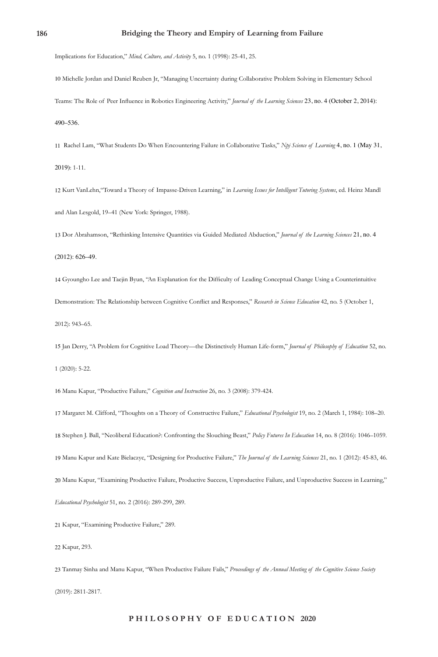#### **186 Bridging the Theory and Empiry of Learning from Failure**

Implications for Education," *Mind, Culture, and Activity* 5, no. 1 (1998): 25-41, 25.

10 Michelle Jordan and Daniel Reuben Jr, "Managing Uncertainty during Collaborative Problem Solving in Elementary School Teams: The Role of Peer Influence in Robotics Engineering Activity," *Journal of the Learning Sciences* 23, no. 4 (October 2, 2014): 490–536.

11 Rachel Lam, "What Students Do When Encountering Failure in Collaborative Tasks," *Npj Science of Learning* 4, no. 1 (May 31, 2019): 1-11.

12 Kurt VanLehn,"Toward a Theory of Impasse-Driven Learning," in *Learning Issues for Intelligent Tutoring Systems*, ed. Heinz Mandl and Alan Lesgold, 19–41 (New York: Springer, 1988).

13 Dor Abrahamson, "Rethinking Intensive Quantities via Guided Mediated Abduction," *Journal of the Learning Sciences* 21, no. 4

```
(2012): 626–49.
```
14 Gyoungho Lee and Taejin Byun, "An Explanation for the Difficulty of Leading Conceptual Change Using a Counterintuitive Demonstration: The Relationship between Cognitive Conflict and Responses," *Research in Science Education* 42, no. 5 (October 1, 2012): 943–65.

15 Jan Derry, "A Problem for Cognitive Load Theory––the Distinctively Human Life-form," *Journal of Philosophy of Education* 52, no. 1 (2020): 5-22.

16 Manu Kapur, "Productive Failure," *Cognition and Instruction* 26, no. 3 (2008): 379-424.

 Margaret M. Clifford, "Thoughts on a Theory of Constructive Failure," *Educational Psychologist* 19, no. 2 (March 1, 1984): 108–20. Stephen J. Ball, "Neoliberal Education?: Confronting the Slouching Beast," *Policy Futures In Education* 14, no. 8 (2016): 1046–1059. Manu Kapur and Kate Bielaczyc, "Designing for Productive Failure," *The Journal of the Learning Sciences* 21, no. 1 (2012): 45-83, 46. Manu Kapur, "Examining Productive Failure, Productive Success, Unproductive Failure, and Unproductive Success in Learning," *Educational Psychologist* 51, no. 2 (2016): 289-299, 289.

21 Kapur, "Examining Productive Failure," 289.

22 Kapur, 293.

23 Tanmay Sinha and Manu Kapur, "When Productive Failure Fails," *Proceedings of the Annual Meeting of the Cognitive Science Society*  (2019): 2811-2817.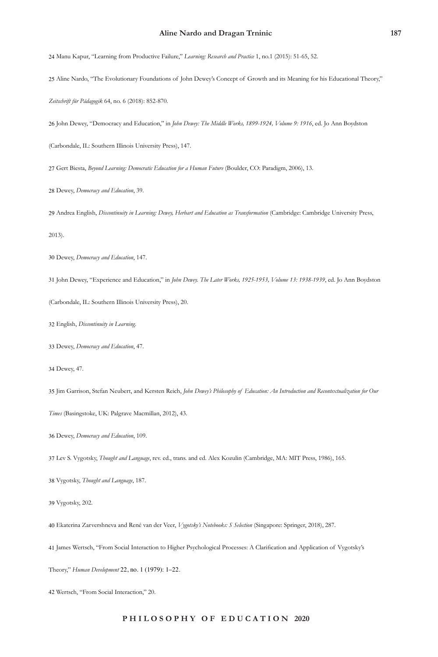#### **Aline Nardo and Dragan Trninic 187**

Manu Kapur, "Learning from Productive Failure," *Learning: Research and Practice* 1, no.1 (2015): 51-65, 52.

Aline Nardo, "The Evolutionary Foundations of John Dewey's Concept of Growth and its Meaning for his Educational Theory,"

*Zeitschrift für Pädagogik* 64, no. 6 (2018): 852-870.

John Dewey, "Democracy and Education," in *John Dewey: The Middle Works, 1899-1924, Volume 9: 1916*, ed. Jo Ann Boydston

(Carbondale, IL: Southern Illinois University Press), 147.

Gert Biesta, *Beyond Learning: Democratic Education for a Human Future* (Boulder, CO: Paradigm, 2006), 13.

Dewey, *Democracy and Education*, 39.

Andrea English, *Discontinuity in Learning: Dewey, Herbart and Education as Transformation* (Cambridge: Cambridge University Press,

2013).

Dewey, *Democracy and Education*, 147.

John Dewey, "Experience and Education," in *John Dewey. The Later Works, 1925-1953, Volume 13: 1938-1939*, ed. Jo Ann Boydston

(Carbondale, IL: Southern Illinois University Press), 20.

English, *Discontinuity in Learning.*

Dewey, *Democracy and Education*, 47.

Dewey, 47.

Jim Garrison, Stefan Neubert, and Kersten Reich, *John Dewey's Philosophy of Education: An Introduction and Recontextualization for Our* 

*Times* (Basingstoke, UK: Palgrave Macmillan, 2012), 43.

Dewey, *Democracy and Education*, 109.

Lev S. Vygotsky, *Thought and Language*, rev. ed., trans. and ed. Alex Kozulin (Cambridge, MA: MIT Press, 1986), 165.

Vygotsky, *Thought and Language*, 187.

Vygotsky, 202.

Ekaterina Zarvershneva and René van der Veer, *Vygotsky's Notebooks: S Selection* (Singapore: Springer, 2018), 287.

James Wertsch, "From Social Interaction to Higher Psychological Processes: A Clarification and Application of Vygotsky's

Theory," *Human Development* 22, no. 1 (1979): 1–22.

Wertsch, "From Social Interaction," 20.